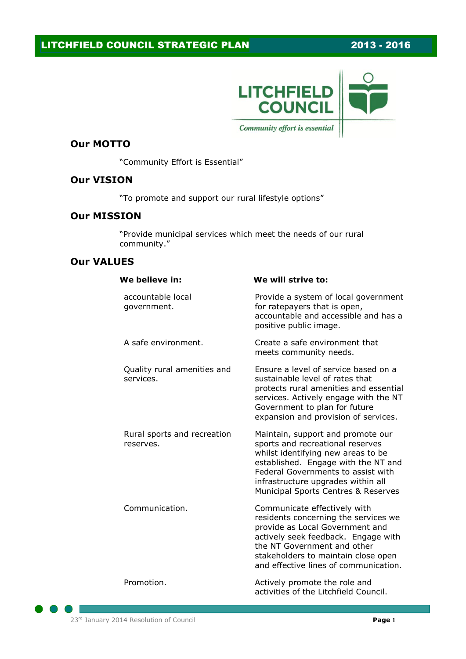

#### **Our MOTTO**

"Community Effort is Essential"

### **Our VISION**

"To promote and support our rural lifestyle options"

### **Our MISSION**

"Provide municipal services which meet the needs of our rural community."

#### **Our VALUES**

| We believe in:                           | We will strive to:                                                                                                                                                                                                                                                    |
|------------------------------------------|-----------------------------------------------------------------------------------------------------------------------------------------------------------------------------------------------------------------------------------------------------------------------|
| accountable local<br>government.         | Provide a system of local government<br>for ratepayers that is open,<br>accountable and accessible and has a<br>positive public image.                                                                                                                                |
| A safe environment.                      | Create a safe environment that<br>meets community needs.                                                                                                                                                                                                              |
| Quality rural amenities and<br>services. | Ensure a level of service based on a<br>sustainable level of rates that<br>protects rural amenities and essential<br>services. Actively engage with the NT<br>Government to plan for future<br>expansion and provision of services.                                   |
| Rural sports and recreation<br>reserves. | Maintain, support and promote our<br>sports and recreational reserves<br>whilst identifying new areas to be<br>established. Engage with the NT and<br>Federal Governments to assist with<br>infrastructure upgrades within all<br>Municipal Sports Centres & Reserves |
| Communication.                           | Communicate effectively with<br>residents concerning the services we<br>provide as Local Government and<br>actively seek feedback. Engage with<br>the NT Government and other<br>stakeholders to maintain close open<br>and effective lines of communication.         |
| Promotion.                               | Actively promote the role and<br>activities of the Litchfield Council.                                                                                                                                                                                                |

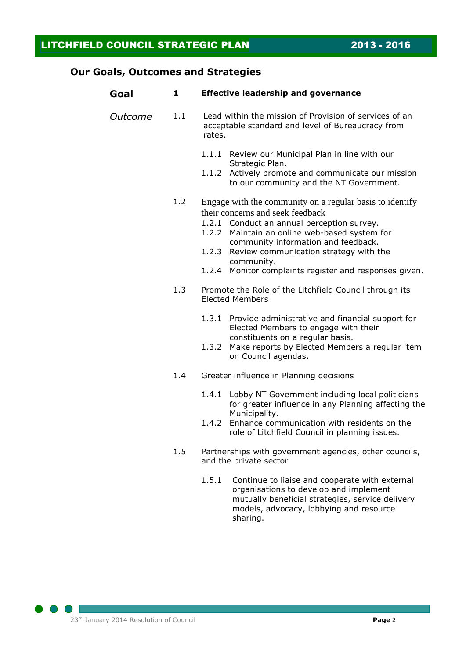## **Our Goals, Outcomes and Strategies**

| Goal    | 1   | <b>Effective leadership and governance</b>                                                                                                                                                                                                                                                                                                                 |  |
|---------|-----|------------------------------------------------------------------------------------------------------------------------------------------------------------------------------------------------------------------------------------------------------------------------------------------------------------------------------------------------------------|--|
| Outcome | 1.1 | Lead within the mission of Provision of services of an<br>acceptable standard and level of Bureaucracy from<br>rates.                                                                                                                                                                                                                                      |  |
|         |     | 1.1.1 Review our Municipal Plan in line with our<br>Strategic Plan.<br>1.1.2<br>Actively promote and communicate our mission<br>to our community and the NT Government.                                                                                                                                                                                    |  |
|         | 1.2 | Engage with the community on a regular basis to identify<br>their concerns and seek feedback<br>1.2.1 Conduct an annual perception survey.<br>1.2.2 Maintain an online web-based system for<br>community information and feedback.<br>1.2.3 Review communication strategy with the<br>community.<br>1.2.4 Monitor complaints register and responses given. |  |
|         | 1.3 | Promote the Role of the Litchfield Council through its<br><b>Elected Members</b>                                                                                                                                                                                                                                                                           |  |
|         |     | 1.3.1 Provide administrative and financial support for<br>Elected Members to engage with their<br>constituents on a regular basis.<br>1.3.2 Make reports by Elected Members a regular item<br>on Council agendas.                                                                                                                                          |  |
|         | 1.4 | Greater influence in Planning decisions                                                                                                                                                                                                                                                                                                                    |  |
|         |     | 1.4.1 Lobby NT Government including local politicians<br>for greater influence in any Planning affecting the<br>Municipality.<br>1.4.2 Enhance communication with residents on the<br>role of Litchfield Council in planning issues.                                                                                                                       |  |
|         | 1.5 | Partnerships with government agencies, other councils,<br>and the private sector                                                                                                                                                                                                                                                                           |  |
|         |     | 1.5.1<br>Continue to liaise and cooperate with external<br>organisations to develop and implement<br>mutually beneficial strategies, service delivery<br>models, advocacy, lobbying and resource                                                                                                                                                           |  |

sharing.

 $\bigcirc$  $\bullet$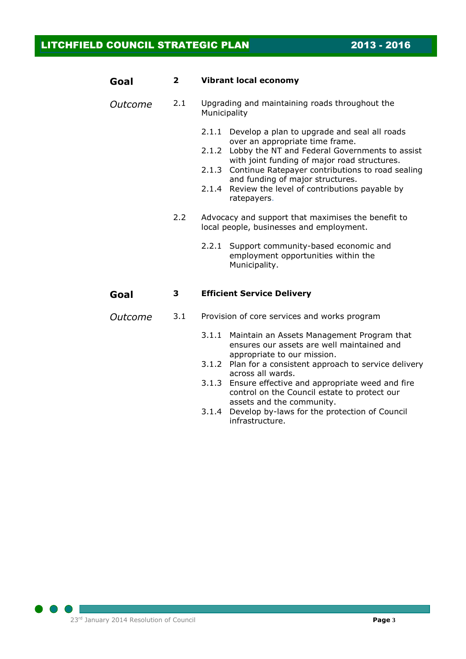| Goal    | 2   | <b>Vibrant local economy</b>                                                                                                                                                                                                                                                                                                                                        |  |
|---------|-----|---------------------------------------------------------------------------------------------------------------------------------------------------------------------------------------------------------------------------------------------------------------------------------------------------------------------------------------------------------------------|--|
| Outcome | 2.1 | Upgrading and maintaining roads throughout the<br>Municipality                                                                                                                                                                                                                                                                                                      |  |
|         |     | 2.1.1 Develop a plan to upgrade and seal all roads<br>over an appropriate time frame.<br>Lobby the NT and Federal Governments to assist<br>2.1.2<br>with joint funding of major road structures.<br>2.1.3 Continue Ratepayer contributions to road sealing<br>and funding of major structures.<br>2.1.4 Review the level of contributions payable by<br>ratepayers. |  |
|         | 2.2 | Advocacy and support that maximises the benefit to<br>local people, businesses and employment.                                                                                                                                                                                                                                                                      |  |
|         |     | 2.2.1 Support community-based economic and<br>employment opportunities within the<br>Municipality.                                                                                                                                                                                                                                                                  |  |
| Goal    | 3   | <b>Efficient Service Delivery</b>                                                                                                                                                                                                                                                                                                                                   |  |
| Outcome | 3.1 | Provision of core services and works program                                                                                                                                                                                                                                                                                                                        |  |
|         |     |                                                                                                                                                                                                                                                                                                                                                                     |  |

- 3.1.1 Maintain an Assets Management Program that ensures our assets are well maintained and appropriate to our mission.
- 3.1.2 Plan for a consistent approach to service delivery across all wards.
- 3.1.3 Ensure effective and appropriate weed and fire control on the Council estate to protect our assets and the community.
- 3.1.4 Develop by-laws for the protection of Council infrastructure.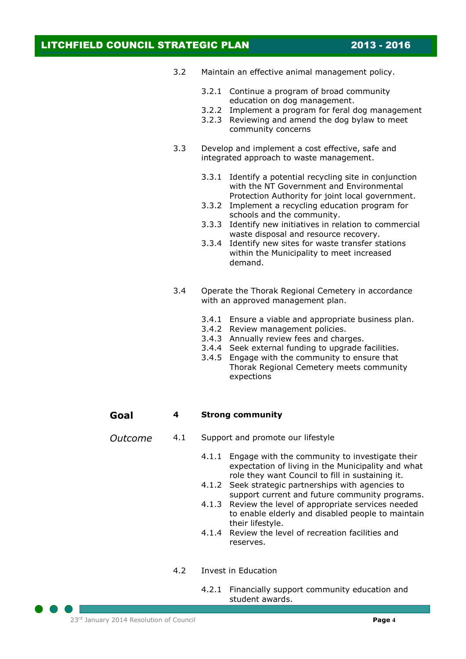- 3.2 Maintain an effective animal management policy.
	- 3.2.1 Continue a program of broad community education on dog management.
	- 3.2.2 Implement a program for feral dog management
	- 3.2.3 Reviewing and amend the dog bylaw to meet community concerns
- 3.3 Develop and implement a cost effective, safe and integrated approach to waste management.
	- 3.3.1 Identify a potential recycling site in conjunction with the NT Government and Environmental Protection Authority for joint local government.
	- 3.3.2 Implement a recycling education program for schools and the community.
	- 3.3.3 Identify new initiatives in relation to commercial waste disposal and resource recovery.
	- 3.3.4 Identify new sites for waste transfer stations within the Municipality to meet increased demand.
- 3.4 Operate the Thorak Regional Cemetery in accordance with an approved management plan.
	- 3.4.1 Ensure a viable and appropriate business plan.
	- 3.4.2 Review management policies.
	- 3.4.3 Annually review fees and charges.
	- 3.4.4 Seek external funding to upgrade facilities.
	- 3.4.5 Engage with the community to ensure that Thorak Regional Cemetery meets community expections

#### **Goal 4 Strong community**

- *Outcome* 4.1 Support and promote our lifestyle
	- 4.1.1 Engage with the community to investigate their expectation of living in the Municipality and what role they want Council to fill in sustaining it.
	- 4.1.2 Seek strategic partnerships with agencies to support current and future community programs.
	- 4.1.3 Review the level of appropriate services needed to enable elderly and disabled people to maintain their lifestyle.
	- 4.1.4 Review the level of recreation facilities and reserves.
	- 4.2 Invest in Education
		- 4.2.1 Financially support community education and student awards.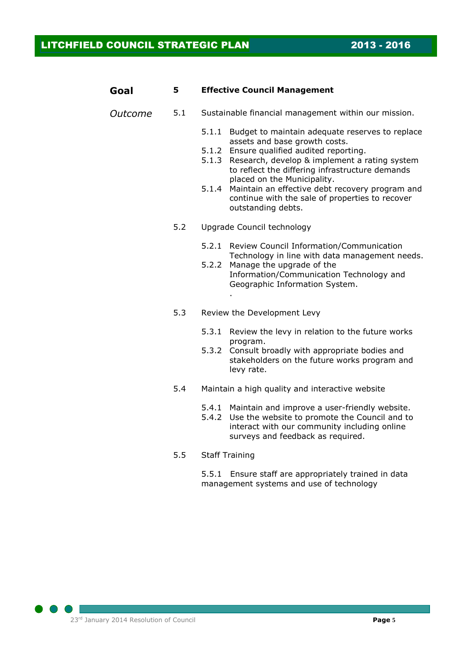| Goal    | 5   | <b>Effective Council Management</b> |                                                                                                                                                                                                                                                                                                                                                                                                    |  |
|---------|-----|-------------------------------------|----------------------------------------------------------------------------------------------------------------------------------------------------------------------------------------------------------------------------------------------------------------------------------------------------------------------------------------------------------------------------------------------------|--|
| Outcome | 5.1 |                                     | Sustainable financial management within our mission.                                                                                                                                                                                                                                                                                                                                               |  |
|         |     | 5.1.3<br>5.1.4                      | 5.1.1 Budget to maintain adequate reserves to replace<br>assets and base growth costs.<br>5.1.2 Ensure qualified audited reporting.<br>Research, develop & implement a rating system<br>to reflect the differing infrastructure demands<br>placed on the Municipality.<br>Maintain an effective debt recovery program and<br>continue with the sale of properties to recover<br>outstanding debts. |  |
|         | 5.2 |                                     | Upgrade Council technology                                                                                                                                                                                                                                                                                                                                                                         |  |
|         |     | 5.2.2                               | 5.2.1 Review Council Information/Communication<br>Technology in line with data management needs.<br>Manage the upgrade of the<br>Information/Communication Technology and<br>Geographic Information System.                                                                                                                                                                                        |  |
|         | 5.3 |                                     | Review the Development Levy                                                                                                                                                                                                                                                                                                                                                                        |  |
|         |     | 5.3.2                               | 5.3.1 Review the levy in relation to the future works<br>program.<br>Consult broadly with appropriate bodies and<br>stakeholders on the future works program and<br>levy rate.                                                                                                                                                                                                                     |  |
|         | 5.4 |                                     | Maintain a high quality and interactive website                                                                                                                                                                                                                                                                                                                                                    |  |
|         |     | 5.4.1<br>5.4.2                      | Maintain and improve a user-friendly website.<br>Use the website to promote the Council and to<br>interact with our community including online<br>surveys and feedback as required.                                                                                                                                                                                                                |  |
|         | 5.5 |                                     | <b>Staff Training</b>                                                                                                                                                                                                                                                                                                                                                                              |  |
|         |     | 5.5.1                               | Ensure staff are appropriately trained in data                                                                                                                                                                                                                                                                                                                                                     |  |

management systems and use of technology